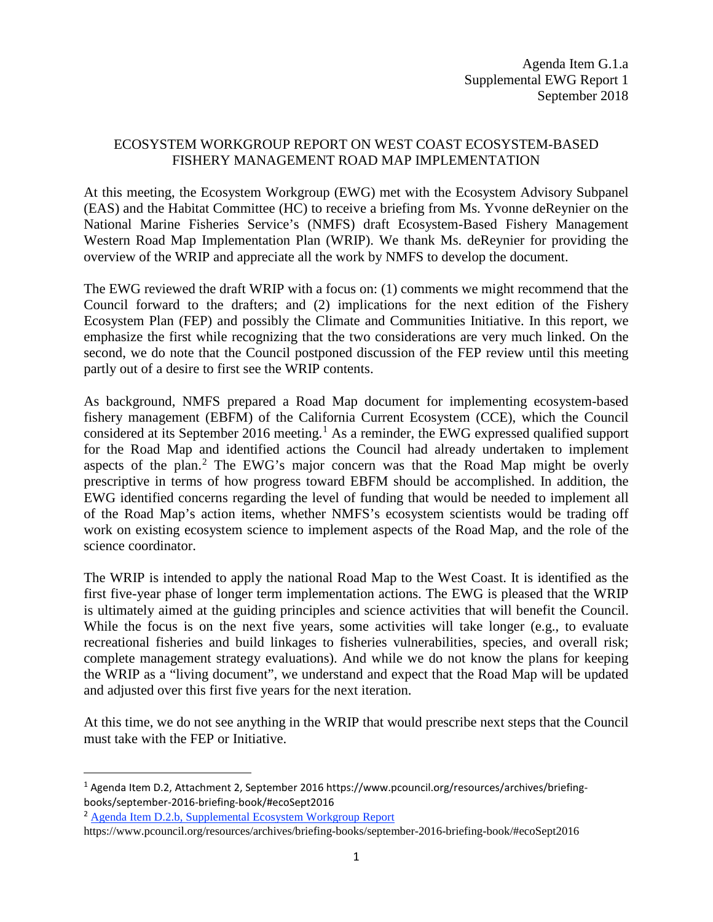## ECOSYSTEM WORKGROUP REPORT ON WEST COAST ECOSYSTEM-BASED FISHERY MANAGEMENT ROAD MAP IMPLEMENTATION

At this meeting, the Ecosystem Workgroup (EWG) met with the Ecosystem Advisory Subpanel (EAS) and the Habitat Committee (HC) to receive a briefing from Ms. Yvonne deReynier on the National Marine Fisheries Service's (NMFS) draft Ecosystem-Based Fishery Management Western Road Map Implementation Plan (WRIP). We thank Ms. deReynier for providing the overview of the WRIP and appreciate all the work by NMFS to develop the document.

The EWG reviewed the draft WRIP with a focus on: (1) comments we might recommend that the Council forward to the drafters; and (2) implications for the next edition of the Fishery Ecosystem Plan (FEP) and possibly the Climate and Communities Initiative. In this report, we emphasize the first while recognizing that the two considerations are very much linked. On the second, we do note that the Council postponed discussion of the FEP review until this meeting partly out of a desire to first see the WRIP contents.

As background, NMFS prepared a Road Map document for implementing ecosystem-based fishery management (EBFM) of the California Current Ecosystem (CCE), which the Council considered at its September 20[1](#page-0-0)6 meeting.<sup>1</sup> As a reminder, the EWG expressed qualified support for the Road Map and identified actions the Council had already undertaken to implement aspects of the plan.<sup>[2](#page-0-1)</sup> The EWG's major concern was that the Road Map might be overly prescriptive in terms of how progress toward EBFM should be accomplished. In addition, the EWG identified concerns regarding the level of funding that would be needed to implement all of the Road Map's action items, whether NMFS's ecosystem scientists would be trading off work on existing ecosystem science to implement aspects of the Road Map, and the role of the science coordinator.

The WRIP is intended to apply the national Road Map to the West Coast. It is identified as the first five-year phase of longer term implementation actions. The EWG is pleased that the WRIP is ultimately aimed at the guiding principles and science activities that will benefit the Council. While the focus is on the next five years, some activities will take longer (e.g., to evaluate recreational fisheries and build linkages to fisheries vulnerabilities, species, and overall risk; complete management strategy evaluations). And while we do not know the plans for keeping the WRIP as a "living document", we understand and expect that the Road Map will be updated and adjusted over this first five years for the next iteration.

At this time, we do not see anything in the WRIP that would prescribe next steps that the Council must take with the FEP or Initiative.

<span id="page-0-0"></span> <sup>1</sup> [Agenda Item D.2, Attachment 2, September 2016](https://www.pcouncil.org/resources/archives/briefing-books/september-2016-briefing-book/#ecoSept2016) https://www.pcouncil.org/resources/archives/briefingbooks/september-2016-briefing-book/#ecoSept2016

<span id="page-0-1"></span><sup>2</sup> [Agenda Item D.2.b, Supplemental Ecosystem Workgroup Report](http://www.pcouncil.org/wp-content/uploads/2016/09/D2b_Sup_EWG_Rpt_SEPT2016BB.pdf) 

https://www.pcouncil.org/resources/archives/briefing-books/september-2016-briefing-book/#ecoSept2016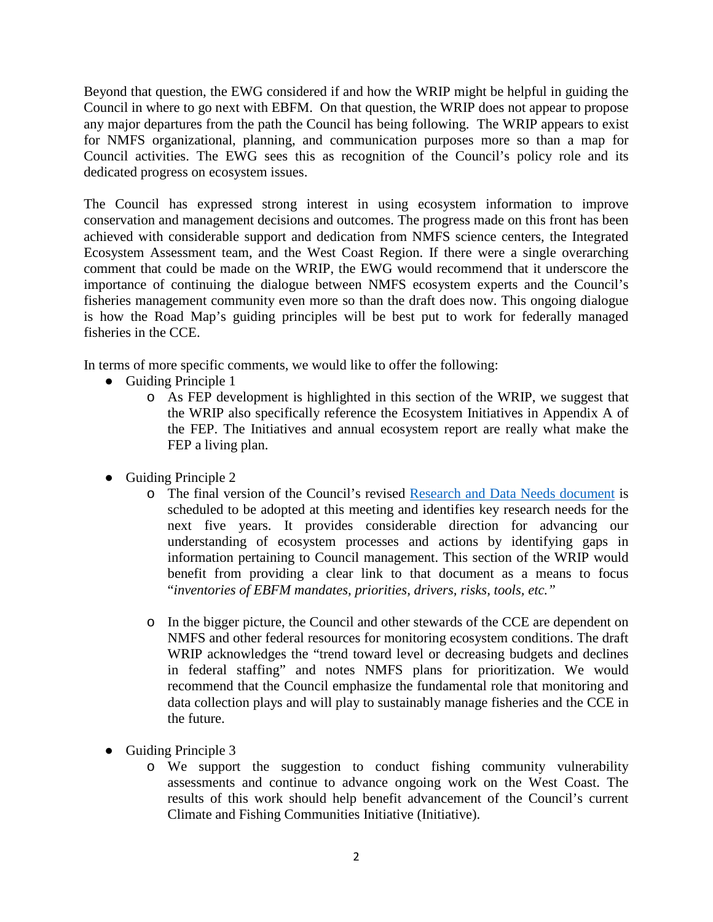Beyond that question, the EWG considered if and how the WRIP might be helpful in guiding the Council in where to go next with EBFM. On that question, the WRIP does not appear to propose any major departures from the path the Council has being following. The WRIP appears to exist for NMFS organizational, planning, and communication purposes more so than a map for Council activities. The EWG sees this as recognition of the Council's policy role and its dedicated progress on ecosystem issues.

The Council has expressed strong interest in using ecosystem information to improve conservation and management decisions and outcomes. The progress made on this front has been achieved with considerable support and dedication from NMFS science centers, the Integrated Ecosystem Assessment team, and the West Coast Region. If there were a single overarching comment that could be made on the WRIP, the EWG would recommend that it underscore the importance of continuing the dialogue between NMFS ecosystem experts and the Council's fisheries management community even more so than the draft does now. This ongoing dialogue is how the Road Map's guiding principles will be best put to work for federally managed fisheries in the CCE.

In terms of more specific comments, we would like to offer the following:

- Guiding Principle 1
	- o As FEP development is highlighted in this section of the WRIP, we suggest that the WRIP also specifically reference the Ecosystem Initiatives in Appendix A of the FEP. The Initiatives and annual ecosystem report are really what make the FEP a living plan.
- Guiding Principle 2
	- o The final version of the Council's revised [Research and Data Needs document](https://www.pcouncil.org/wp-content/uploads/2018/08/F1_Att1_RD_Needs_electronic_only_SEPT2018BB.pdf) is scheduled to be adopted at this meeting and identifies key research needs for the next five years. It provides considerable direction for advancing our understanding of ecosystem processes and actions by identifying gaps in information pertaining to Council management. This section of the WRIP would benefit from providing a clear link to that document as a means to focus "*inventories of EBFM mandates, priorities, drivers, risks, tools, etc."*
	- o In the bigger picture, the Council and other stewards of the CCE are dependent on NMFS and other federal resources for monitoring ecosystem conditions. The draft WRIP acknowledges the "trend toward level or decreasing budgets and declines in federal staffing" and notes NMFS plans for prioritization. We would recommend that the Council emphasize the fundamental role that monitoring and data collection plays and will play to sustainably manage fisheries and the CCE in the future.
- Guiding Principle 3
	- o We support the suggestion to conduct fishing community vulnerability assessments and continue to advance ongoing work on the West Coast. The results of this work should help benefit advancement of the Council's current Climate and Fishing Communities Initiative (Initiative).